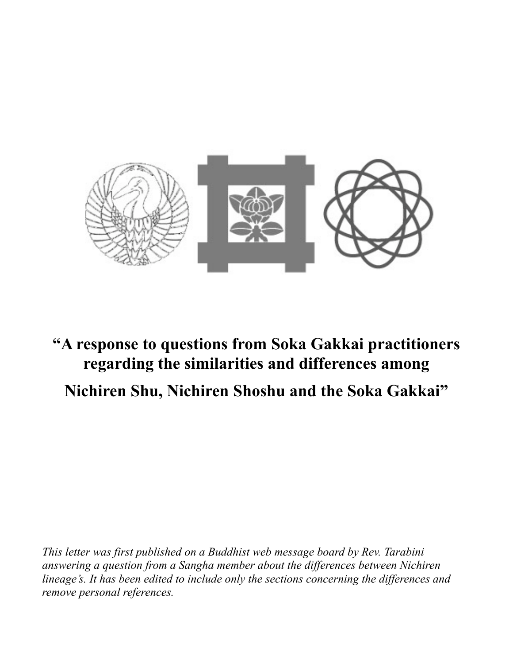

# **"A response to questions from Soka Gakkai practitioners regarding the similarities and differences among Nichiren Shu, Nichiren Shoshu and the Soka Gakkai"**

*This letter was first published on a Buddhist web message board by Rev. Tarabini answering a question from a Sangha member about the differences between Nichiren lineage's. It has been edited to include only the sections concerning the differences and remove personal references.*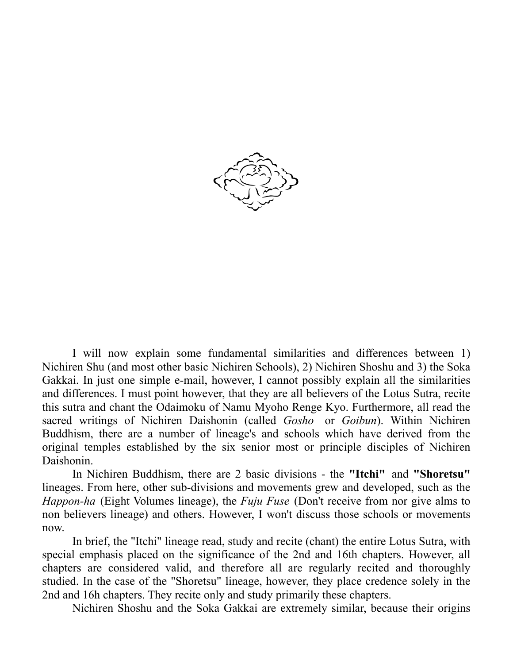

I will now explain some fundamental similarities and differences between 1) Nichiren Shu (and most other basic Nichiren Schools), 2) Nichiren Shoshu and 3) the Soka Gakkai. In just one simple e-mail, however, I cannot possibly explain all the similarities and differences. I must point however, that they are all believers of the Lotus Sutra, recite this sutra and chant the Odaimoku of Namu Myoho Renge Kyo. Furthermore, all read the sacred writings of Nichiren Daishonin (called *Gosho* or *Goibun*). Within Nichiren Buddhism, there are a number of lineage's and schools which have derived from the original temples established by the six senior most or principle disciples of Nichiren Daishonin.

In Nichiren Buddhism, there are 2 basic divisions - the **"Itchi"** and **"Shoretsu"** lineages. From here, other sub-divisions and movements grew and developed, such as the *Happon-ha* (Eight Volumes lineage), the *Fuju Fuse* (Don't receive from nor give alms to non believers lineage) and others. However, I won't discuss those schools or movements now.

In brief, the "Itchi" lineage read, study and recite (chant) the entire Lotus Sutra, with special emphasis placed on the significance of the 2nd and 16th chapters. However, all chapters are considered valid, and therefore all are regularly recited and thoroughly studied. In the case of the "Shoretsu" lineage, however, they place credence solely in the 2nd and 16h chapters. They recite only and study primarily these chapters.

Nichiren Shoshu and the Soka Gakkai are extremely similar, because their origins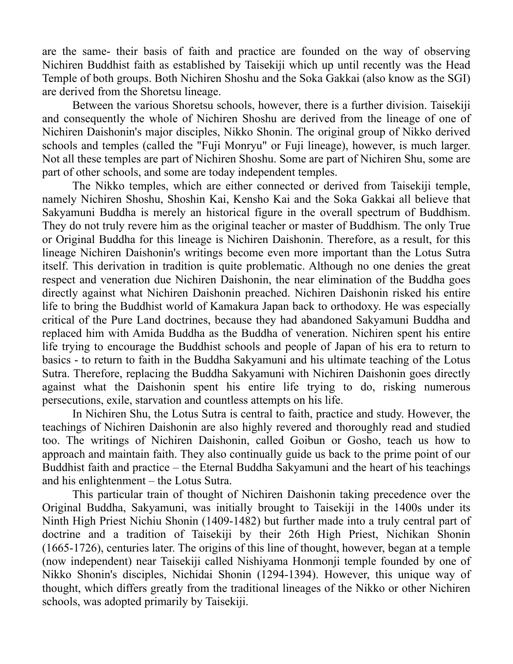are the same- their basis of faith and practice are founded on the way of observing Nichiren Buddhist faith as established by Taisekiji which up until recently was the Head Temple of both groups. Both Nichiren Shoshu and the Soka Gakkai (also know as the SGI) are derived from the Shoretsu lineage.

Between the various Shoretsu schools, however, there is a further division. Taisekiji and consequently the whole of Nichiren Shoshu are derived from the lineage of one of Nichiren Daishonin's major disciples, Nikko Shonin. The original group of Nikko derived schools and temples (called the "Fuji Monryu" or Fuji lineage), however, is much larger. Not all these temples are part of Nichiren Shoshu. Some are part of Nichiren Shu, some are part of other schools, and some are today independent temples.

The Nikko temples, which are either connected or derived from Taisekiji temple, namely Nichiren Shoshu, Shoshin Kai, Kensho Kai and the Soka Gakkai all believe that Sakyamuni Buddha is merely an historical figure in the overall spectrum of Buddhism. They do not truly revere him as the original teacher or master of Buddhism. The only True or Original Buddha for this lineage is Nichiren Daishonin. Therefore, as a result, for this lineage Nichiren Daishonin's writings become even more important than the Lotus Sutra itself. This derivation in tradition is quite problematic. Although no one denies the great respect and veneration due Nichiren Daishonin, the near elimination of the Buddha goes directly against what Nichiren Daishonin preached. Nichiren Daishonin risked his entire life to bring the Buddhist world of Kamakura Japan back to orthodoxy. He was especially critical of the Pure Land doctrines, because they had abandoned Sakyamuni Buddha and replaced him with Amida Buddha as the Buddha of veneration. Nichiren spent his entire life trying to encourage the Buddhist schools and people of Japan of his era to return to basics - to return to faith in the Buddha Sakyamuni and his ultimate teaching of the Lotus Sutra. Therefore, replacing the Buddha Sakyamuni with Nichiren Daishonin goes directly against what the Daishonin spent his entire life trying to do, risking numerous persecutions, exile, starvation and countless attempts on his life.

In Nichiren Shu, the Lotus Sutra is central to faith, practice and study. However, the teachings of Nichiren Daishonin are also highly revered and thoroughly read and studied too. The writings of Nichiren Daishonin, called Goibun or Gosho, teach us how to approach and maintain faith. They also continually guide us back to the prime point of our Buddhist faith and practice – the Eternal Buddha Sakyamuni and the heart of his teachings and his enlightenment – the Lotus Sutra.

This particular train of thought of Nichiren Daishonin taking precedence over the Original Buddha, Sakyamuni, was initially brought to Taisekiji in the 1400s under its Ninth High Priest Nichiu Shonin (1409-1482) but further made into a truly central part of doctrine and a tradition of Taisekiji by their 26th High Priest, Nichikan Shonin (1665-1726), centuries later. The origins of this line of thought, however, began at a temple (now independent) near Taisekiji called Nishiyama Honmonji temple founded by one of Nikko Shonin's disciples, Nichidai Shonin (1294-1394). However, this unique way of thought, which differs greatly from the traditional lineages of the Nikko or other Nichiren schools, was adopted primarily by Taisekiji.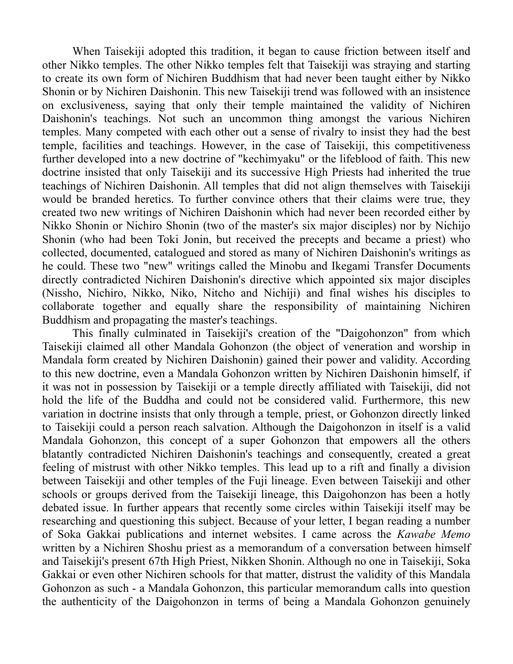When Taisekiji adopted this tradition, it began to cause friction between itself and other Nikko temples. The other Nikko temples felt that Taisekiji was straying and starting to create its own form of Nichiren Buddhism that had never been taught either by Nikko Shonin or by Nichiren Daishonin. This new Taisekiji trend was followed with an insistence on exclusiveness, saying that only their temple maintained the validity of Nichiren Daishonin's teachings. Not such an uncommon thing amongst the various Nichiren temples. Many competed with each other out a sense of rivalry to insist they had the best temple, facilities and teachings. However, in the case of Taisekiji, this competitiveness further developed into a new doctrine of "kechimyaku" or the lifeblood of faith. This new doctrine insisted that only Taisekiji and its successive High Priests had inherited the true teachings of Nichiren Daishonin. All temples that did not align themselves with Taisekiji would be branded heretics. To further convince others that their claims were true, they created two new writings of Nichiren Daishonin which had never been recorded either by Nikko Shonin or Nichiro Shonin (two of the master's six major disciples) nor by Nichijo Shonin (who had been Toki Jonin, but received the precepts and became a priest) who collected, documented, catalogued and stored as many of Nichiren Daishonin's writings as he could. These two "new" writings called the Minobu and Ikegami Transfer Documents directly contradicted Nichiren Daishonin's directive which appointed six major disciples (Nissho, Nichiro, Nikko, Niko, Nitcho and Nichiji) and final wishes his disciples to collaborate together and equally share the responsibility of maintaining Nichiren Buddhism and propagating the master's teachings.

This finally culminated in Taisekiji's creation of the "Daigohonzon" from which Taisekiji claimed all other Mandala Gohonzon (the object of veneration and worship in Mandala form created by Nichiren Daishonin) gained their power and validity. According to this new doctrine, even a Mandala Gohonzon written by Nichiren Daishonin himself, if it was not in possession by Taisekiji or a temple directly affiliated with Taisekiji, did not hold the life of the Buddha and could not be considered valid. Furthermore, this new variation in doctrine insists that only through a temple, priest, or Gohonzon directly linked to Taisekiji could a person reach salvation. Although the Daigohonzon in itself is a valid Mandala Gohonzon, this concept of a super Gohonzon that empowers all the others blatantly contradicted Nichiren Daishonin's teachings and consequently, created a great feeling of mistrust with other Nikko temples. This lead up to a rift and finally a division between Taisekiji and other temples of the Fuji lineage. Even between Taisekiji and other schools or groups derived from the Taisekiji lineage, this Daigohonzon has been a hotly debated issue. In further appears that recently some circles within Taisekiji itself may be researching and questioning this subject. Because of your letter, I began reading a number of Soka Gakkai publications and internet websites. I came across the *Kawabe Memo* written by a Nichiren Shoshu priest as a memorandum of a conversation between himself and Taisekiji's present 67th High Priest, Nikken Shonin. Although no one in Taisekiji, Soka Gakkai or even other Nichiren schools for that matter, distrust the validity of this Mandala Gohonzon as such - a Mandala Gohonzon, this particular memorandum calls into question the authenticity of the Daigohonzon in terms of being a Mandala Gohonzon genuinely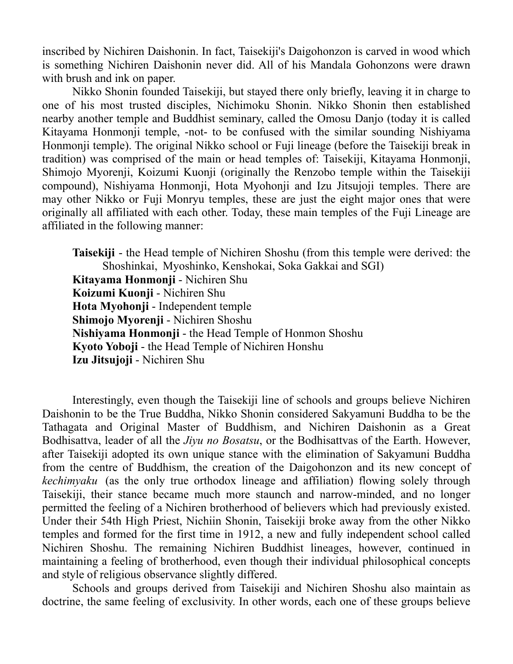inscribed by Nichiren Daishonin. In fact, Taisekiji's Daigohonzon is carved in wood which is something Nichiren Daishonin never did. All of his Mandala Gohonzons were drawn with brush and ink on paper.

Nikko Shonin founded Taisekiji, but stayed there only briefly, leaving it in charge to one of his most trusted disciples, Nichimoku Shonin. Nikko Shonin then established nearby another temple and Buddhist seminary, called the Omosu Danjo (today it is called Kitayama Honmonji temple, -not- to be confused with the similar sounding Nishiyama Honmonji temple). The original Nikko school or Fuji lineage (before the Taisekiji break in tradition) was comprised of the main or head temples of: Taisekiji, Kitayama Honmonji, Shimojo Myorenji, Koizumi Kuonji (originally the Renzobo temple within the Taisekiji compound), Nishiyama Honmonji, Hota Myohonji and Izu Jitsujoji temples. There are may other Nikko or Fuji Monryu temples, these are just the eight major ones that were originally all affiliated with each other. Today, these main temples of the Fuji Lineage are affiliated in the following manner:

**Taisekiji** - the Head temple of Nichiren Shoshu (from this temple were derived: the Shoshinkai, Myoshinko, Kenshokai, Soka Gakkai and SGI) **Kitayama Honmonji** - Nichiren Shu **Koizumi Kuonji** - Nichiren Shu **Hota Myohonji** - Independent temple **Shimojo Myorenji** - Nichiren Shoshu **Nishiyama Honmonji** - the Head Temple of Honmon Shoshu **Kyoto Yoboji** - the Head Temple of Nichiren Honshu **Izu Jitsujoji** - Nichiren Shu

Interestingly, even though the Taisekiji line of schools and groups believe Nichiren Daishonin to be the True Buddha, Nikko Shonin considered Sakyamuni Buddha to be the Tathagata and Original Master of Buddhism, and Nichiren Daishonin as a Great Bodhisattva, leader of all the *Jiyu no Bosatsu*, or the Bodhisattvas of the Earth. However, after Taisekiji adopted its own unique stance with the elimination of Sakyamuni Buddha from the centre of Buddhism, the creation of the Daigohonzon and its new concept of *kechimyaku* (as the only true orthodox lineage and affiliation) flowing solely through Taisekiji, their stance became much more staunch and narrow-minded, and no longer permitted the feeling of a Nichiren brotherhood of believers which had previously existed. Under their 54th High Priest, Nichiin Shonin, Taisekiji broke away from the other Nikko temples and formed for the first time in 1912, a new and fully independent school called Nichiren Shoshu. The remaining Nichiren Buddhist lineages, however, continued in maintaining a feeling of brotherhood, even though their individual philosophical concepts and style of religious observance slightly differed.

Schools and groups derived from Taisekiji and Nichiren Shoshu also maintain as doctrine, the same feeling of exclusivity. In other words, each one of these groups believe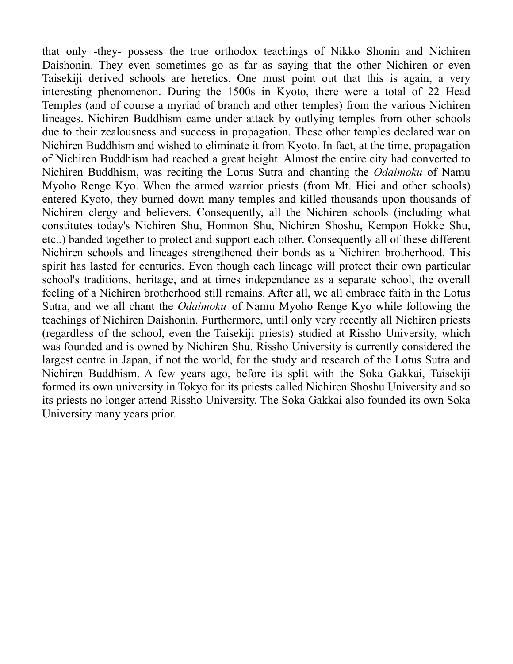that only -they- possess the true orthodox teachings of Nikko Shonin and Nichiren Daishonin. They even sometimes go as far as saying that the other Nichiren or even Taisekiji derived schools are heretics. One must point out that this is again, a very interesting phenomenon. During the 1500s in Kyoto, there were a total of 22 Head Temples (and of course a myriad of branch and other temples) from the various Nichiren lineages. Nichiren Buddhism came under attack by outlying temples from other schools due to their zealousness and success in propagation. These other temples declared war on Nichiren Buddhism and wished to eliminate it from Kyoto. In fact, at the time, propagation of Nichiren Buddhism had reached a great height. Almost the entire city had converted to Nichiren Buddhism, was reciting the Lotus Sutra and chanting the *Odaimoku* of Namu Myoho Renge Kyo. When the armed warrior priests (from Mt. Hiei and other schools) entered Kyoto, they burned down many temples and killed thousands upon thousands of Nichiren clergy and believers. Consequently, all the Nichiren schools (including what constitutes today's Nichiren Shu, Honmon Shu, Nichiren Shoshu, Kempon Hokke Shu, etc..) banded together to protect and support each other. Consequently all of these different Nichiren schools and lineages strengthened their bonds as a Nichiren brotherhood. This spirit has lasted for centuries. Even though each lineage will protect their own particular school's traditions, heritage, and at times independance as a separate school, the overall feeling of a Nichiren brotherhood still remains. After all, we all embrace faith in the Lotus Sutra, and we all chant the *Odaimoku* of Namu Myoho Renge Kyo while following the teachings of Nichiren Daishonin. Furthermore, until only very recently all Nichiren priests (regardless of the school, even the Taisekiji priests) studied at Rissho University, which was founded and is owned by Nichiren Shu. Rissho University is currently considered the largest centre in Japan, if not the world, for the study and research of the Lotus Sutra and Nichiren Buddhism. A few years ago, before its split with the Soka Gakkai, Taisekiji formed its own university in Tokyo for its priests called Nichiren Shoshu University and so its priests no longer attend Rissho University. The Soka Gakkai also founded its own Soka University many years prior.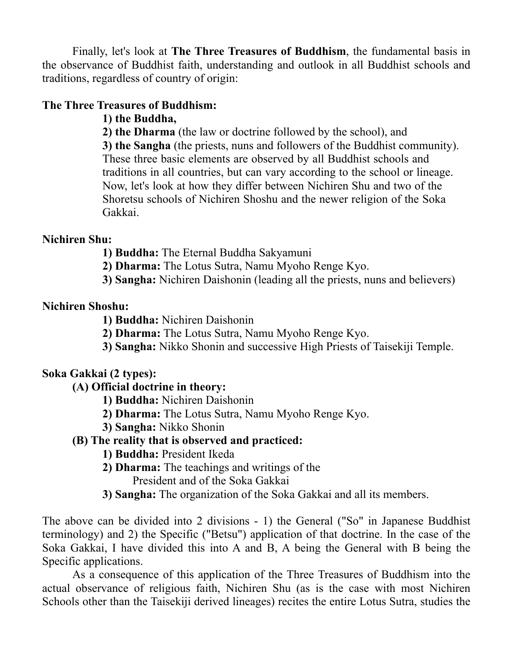Finally, let's look at **The Three Treasures of Buddhism**, the fundamental basis in the observance of Buddhist faith, understanding and outlook in all Buddhist schools and traditions, regardless of country of origin:

#### **The Three Treasures of Buddhism:**

**1) the Buddha,**

**2) the Dharma** (the law or doctrine followed by the school), and

**3) the Sangha** (the priests, nuns and followers of the Buddhist community). These three basic elements are observed by all Buddhist schools and traditions in all countries, but can vary according to the school or lineage. Now, let's look at how they differ between Nichiren Shu and two of the Shoretsu schools of Nichiren Shoshu and the newer religion of the Soka Gakkai.

#### **Nichiren Shu:**

**1) Buddha:** The Eternal Buddha Sakyamuni

**2) Dharma:** The Lotus Sutra, Namu Myoho Renge Kyo.

**3) Sangha:** Nichiren Daishonin (leading all the priests, nuns and believers)

#### **Nichiren Shoshu:**

**1) Buddha:** Nichiren Daishonin

**2) Dharma:** The Lotus Sutra, Namu Myoho Renge Kyo.

**3) Sangha:** Nikko Shonin and successive High Priests of Taisekiji Temple.

## **Soka Gakkai (2 types):**

#### **(A) Official doctrine in theory:**

- **1) Buddha:** Nichiren Daishonin
- **2) Dharma:** The Lotus Sutra, Namu Myoho Renge Kyo.
- **3) Sangha:** Nikko Shonin

## **(B) The reality that is observed and practiced:**

- **1) Buddha:** President Ikeda
- **2) Dharma:** The teachings and writings of the

President and of the Soka Gakkai

**3) Sangha:** The organization of the Soka Gakkai and all its members.

The above can be divided into 2 divisions - 1) the General ("So" in Japanese Buddhist terminology) and 2) the Specific ("Betsu") application of that doctrine. In the case of the Soka Gakkai, I have divided this into A and B, A being the General with B being the Specific applications.

As a consequence of this application of the Three Treasures of Buddhism into the actual observance of religious faith, Nichiren Shu (as is the case with most Nichiren Schools other than the Taisekiji derived lineages) recites the entire Lotus Sutra, studies the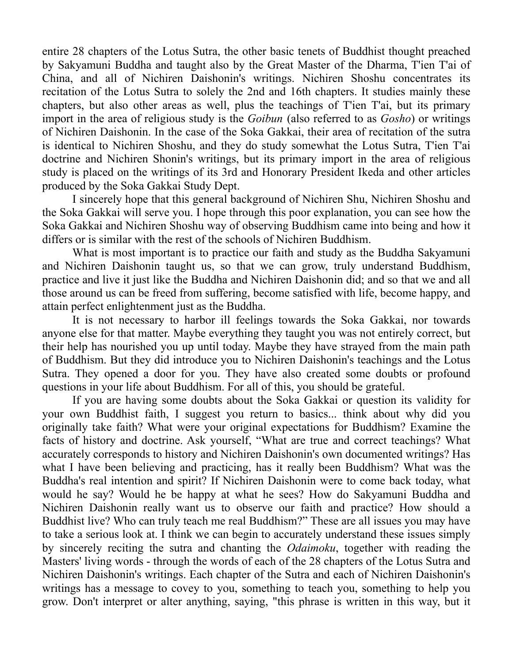entire 28 chapters of the Lotus Sutra, the other basic tenets of Buddhist thought preached by Sakyamuni Buddha and taught also by the Great Master of the Dharma, T'ien T'ai of China, and all of Nichiren Daishonin's writings. Nichiren Shoshu concentrates its recitation of the Lotus Sutra to solely the 2nd and 16th chapters. It studies mainly these chapters, but also other areas as well, plus the teachings of T'ien T'ai, but its primary import in the area of religious study is the *Goibun* (also referred to as *Gosho*) or writings of Nichiren Daishonin. In the case of the Soka Gakkai, their area of recitation of the sutra is identical to Nichiren Shoshu, and they do study somewhat the Lotus Sutra, T'ien T'ai doctrine and Nichiren Shonin's writings, but its primary import in the area of religious study is placed on the writings of its 3rd and Honorary President Ikeda and other articles produced by the Soka Gakkai Study Dept.

I sincerely hope that this general background of Nichiren Shu, Nichiren Shoshu and the Soka Gakkai will serve you. I hope through this poor explanation, you can see how the Soka Gakkai and Nichiren Shoshu way of observing Buddhism came into being and how it differs or is similar with the rest of the schools of Nichiren Buddhism.

What is most important is to practice our faith and study as the Buddha Sakyamuni and Nichiren Daishonin taught us, so that we can grow, truly understand Buddhism, practice and live it just like the Buddha and Nichiren Daishonin did; and so that we and all those around us can be freed from suffering, become satisfied with life, become happy, and attain perfect enlightenment just as the Buddha.

It is not necessary to harbor ill feelings towards the Soka Gakkai, nor towards anyone else for that matter. Maybe everything they taught you was not entirely correct, but their help has nourished you up until today. Maybe they have strayed from the main path of Buddhism. But they did introduce you to Nichiren Daishonin's teachings and the Lotus Sutra. They opened a door for you. They have also created some doubts or profound questions in your life about Buddhism. For all of this, you should be grateful.

If you are having some doubts about the Soka Gakkai or question its validity for your own Buddhist faith, I suggest you return to basics... think about why did you originally take faith? What were your original expectations for Buddhism? Examine the facts of history and doctrine. Ask yourself, "What are true and correct teachings? What accurately corresponds to history and Nichiren Daishonin's own documented writings? Has what I have been believing and practicing, has it really been Buddhism? What was the Buddha's real intention and spirit? If Nichiren Daishonin were to come back today, what would he say? Would he be happy at what he sees? How do Sakyamuni Buddha and Nichiren Daishonin really want us to observe our faith and practice? How should a Buddhist live? Who can truly teach me real Buddhism?" These are all issues you may have to take a serious look at. I think we can begin to accurately understand these issues simply by sincerely reciting the sutra and chanting the *Odaimoku*, together with reading the Masters' living words - through the words of each of the 28 chapters of the Lotus Sutra and Nichiren Daishonin's writings. Each chapter of the Sutra and each of Nichiren Daishonin's writings has a message to covey to you, something to teach you, something to help you grow. Don't interpret or alter anything, saying, "this phrase is written in this way, but it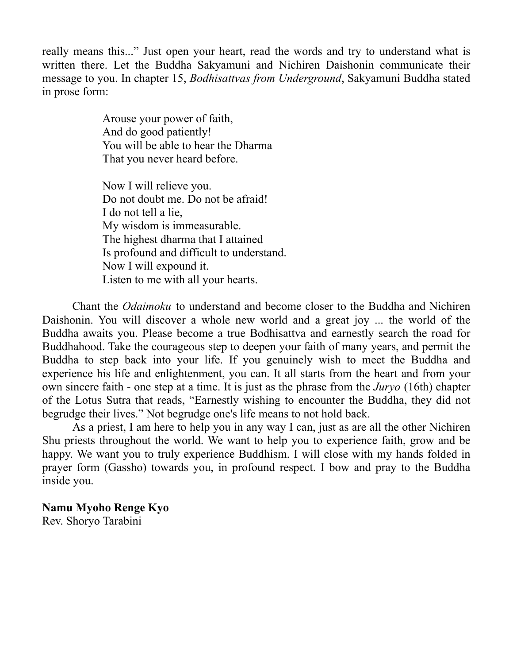really means this..." Just open your heart, read the words and try to understand what is written there. Let the Buddha Sakyamuni and Nichiren Daishonin communicate their message to you. In chapter 15, *Bodhisattvas from Underground*, Sakyamuni Buddha stated in prose form:

> Arouse your power of faith, And do good patiently! You will be able to hear the Dharma That you never heard before.

Now I will relieve you. Do not doubt me. Do not be afraid! I do not tell a lie, My wisdom is immeasurable. The highest dharma that I attained Is profound and difficult to understand. Now I will expound it. Listen to me with all your hearts.

Chant the *Odaimoku* to understand and become closer to the Buddha and Nichiren Daishonin. You will discover a whole new world and a great joy ... the world of the Buddha awaits you. Please become a true Bodhisattva and earnestly search the road for Buddhahood. Take the courageous step to deepen your faith of many years, and permit the Buddha to step back into your life. If you genuinely wish to meet the Buddha and experience his life and enlightenment, you can. It all starts from the heart and from your own sincere faith - one step at a time. It is just as the phrase from the *Juryo* (16th) chapter of the Lotus Sutra that reads, "Earnestly wishing to encounter the Buddha, they did not begrudge their lives." Not begrudge one's life means to not hold back.

As a priest, I am here to help you in any way I can, just as are all the other Nichiren Shu priests throughout the world. We want to help you to experience faith, grow and be happy. We want you to truly experience Buddhism. I will close with my hands folded in prayer form (Gassho) towards you, in profound respect. I bow and pray to the Buddha inside you.

# **Namu Myoho Renge Kyo**

Rev. Shoryo Tarabini